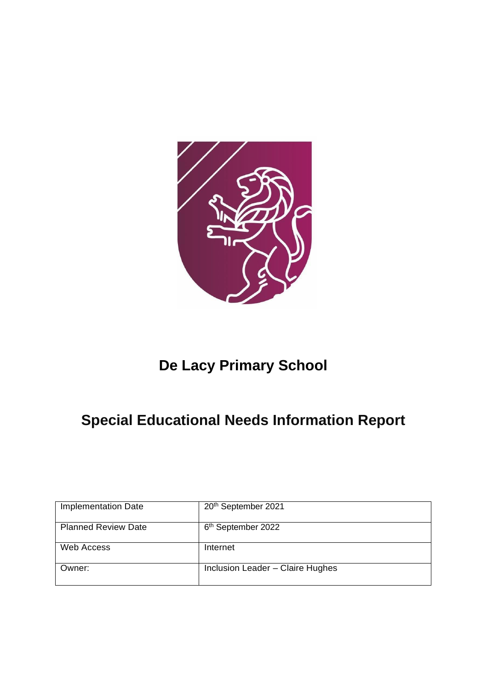

# **De Lacy Primary School**

# **Special Educational Needs Information Report**

| <b>Implementation Date</b> | 20th September 2021              |
|----------------------------|----------------------------------|
| <b>Planned Review Date</b> | 6 <sup>th</sup> September 2022   |
| <b>Web Access</b>          | Internet                         |
| Owner:                     | Inclusion Leader - Claire Hughes |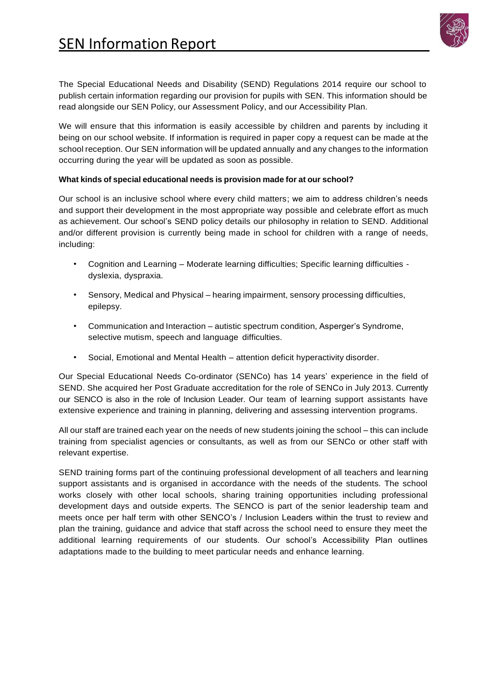

The Special Educational Needs and Disability (SEND) Regulations 2014 require our school to publish certain information regarding our provision for pupils with SEN. This information should be read alongside our SEN Policy, our Assessment Policy, and our Accessibility Plan.

We will ensure that this information is easily accessible by children and parents by including it being on our school website. If information is required in paper copy a request can be made at the school reception. Our SEN information will be updated annually and any changes to the information occurring during the year will be updated as soon as possible.

## **What kinds of special educational needs is provision made for at our school?**

Our school is an inclusive school where every child matters; we aim to address children's needs and support their development in the most appropriate way possible and celebrate effort as much as achievement. Our school's SEND policy details our philosophy in relation to SEND. Additional and/or different provision is currently being made in school for children with a range of needs, including:

- Cognition and Learning Moderate learning difficulties; Specific learning difficulties dyslexia, dyspraxia.
- Sensory, Medical and Physical hearing impairment, sensory processing difficulties, epilepsy.
- Communication and Interaction autistic spectrum condition, Asperger's Syndrome, selective mutism, speech and language difficulties.
- Social, Emotional and Mental Health attention deficit hyperactivity disorder.

Our Special Educational Needs Co-ordinator (SENCo) has 14 years' experience in the field of SEND. She acquired her Post Graduate accreditation for the role of SENCo in July 2013. Currently our SENCO is also in the role of Inclusion Leader. Our team of learning support assistants have extensive experience and training in planning, delivering and assessing intervention programs.

All our staff are trained each year on the needs of new students joining the school – this can include training from specialist agencies or consultants, as well as from our SENCo or other staff with relevant expertise.

SEND training forms part of the continuing professional development of all teachers and learning support assistants and is organised in accordance with the needs of the students. The school works closely with other local schools, sharing training opportunities including professional development days and outside experts. The SENCO is part of the senior leadership team and meets once per half term with other SENCO's / Inclusion Leaders within the trust to review and plan the training, guidance and advice that staff across the school need to ensure they meet the additional learning requirements of our students. Our school's Accessibility Plan outlines adaptations made to the building to meet particular needs and enhance learning.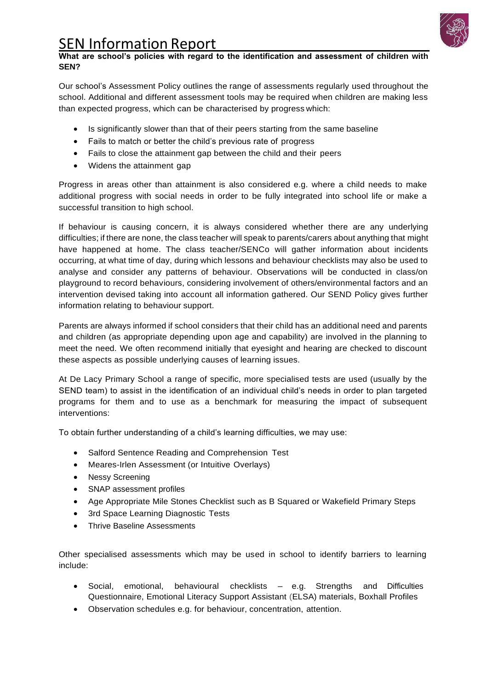

## **What are school's policies with regard to the identification and assessment of children with SEN?**

Our school's Assessment Policy outlines the range of assessments regularly used throughout the school. Additional and different assessment tools may be required when children are making less than expected progress, which can be characterised by progress which:

- Is significantly slower than that of their peers starting from the same baseline
- Fails to match or better the child's previous rate of progress
- Fails to close the attainment gap between the child and their peers
- Widens the attainment gap

Progress in areas other than attainment is also considered e.g. where a child needs to make additional progress with social needs in order to be fully integrated into school life or make a successful transition to high school.

If behaviour is causing concern, it is always considered whether there are any underlying difficulties; if there are none, the class teacher will speak to parents/carers about anything that might have happened at home. The class teacher/SENCo will gather information about incidents occurring, at what time of day, during which lessons and behaviour checklists may also be used to analyse and consider any patterns of behaviour. Observations will be conducted in class/on playground to record behaviours, considering involvement of others/environmental factors and an intervention devised taking into account all information gathered. Our SEND Policy gives further information relating to behaviour support.

Parents are always informed if school considers that their child has an additional need and parents and children (as appropriate depending upon age and capability) are involved in the planning to meet the need. We often recommend initially that eyesight and hearing are checked to discount these aspects as possible underlying causes of learning issues.

At De Lacy Primary School a range of specific, more specialised tests are used (usually by the SEND team) to assist in the identification of an individual child's needs in order to plan targeted programs for them and to use as a benchmark for measuring the impact of subsequent interventions:

To obtain further understanding of a child's learning difficulties, we may use:

- Salford Sentence Reading and Comprehension Test
- Meares-Irlen Assessment (or Intuitive Overlays)
- Nessy Screening
- SNAP assessment profiles
- Age Appropriate Mile Stones Checklist such as B Squared or Wakefield Primary Steps
- 3rd Space Learning Diagnostic Tests
- Thrive Baseline Assessments

Other specialised assessments which may be used in school to identify barriers to learning include:

- Social, emotional, behavioural checklists e.g. Strengths and Difficulties Questionnaire, Emotional Literacy Support Assistant (ELSA) materials, Boxhall Profiles
- Observation schedules e.g. for behaviour, concentration, attention.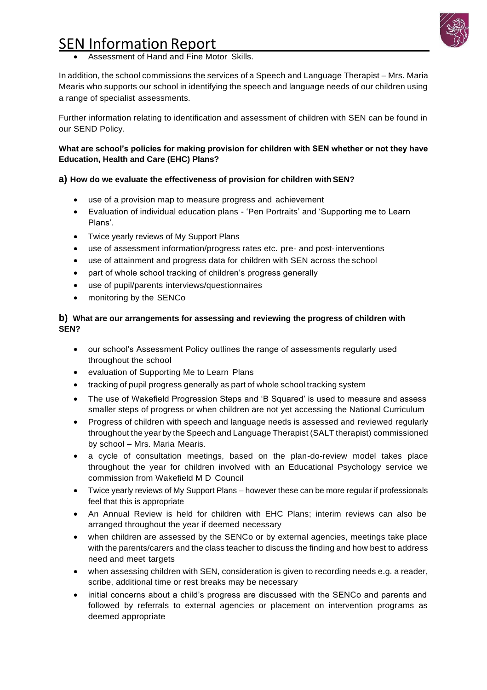

• Assessment of Hand and Fine Motor Skills.

In addition, the school commissions the services of a Speech and Language Therapist – Mrs. Maria Mearis who supports our school in identifying the speech and language needs of our children using a range of specialist assessments.

Further information relating to identification and assessment of children with SEN can be found in our SEND Policy.

## **What are school's policies for making provision for children with SEN whether or not they have Education, Health and Care (EHC) Plans?**

## **a) How do we evaluate the effectiveness of provision for children with SEN?**

- use of a provision map to measure progress and achievement
- Evaluation of individual education plans 'Pen Portraits' and 'Supporting me to Learn Plans'.
- Twice yearly reviews of My Support Plans
- use of assessment information/progress rates etc. pre- and post-interventions
- use of attainment and progress data for children with SEN across the school
- part of whole school tracking of children's progress generally
- use of pupil/parents interviews/questionnaires
- monitoring by the SENCo

## **b) What are our arrangements for assessing and reviewing the progress of children with SEN?**

- our school's Assessment Policy outlines the range of assessments regularly used throughout the school
- evaluation of Supporting Me to Learn Plans
- tracking of pupil progress generally as part of whole school tracking system
- The use of Wakefield Progression Steps and 'B Squared' is used to measure and assess smaller steps of progress or when children are not yet accessing the National Curriculum
- Progress of children with speech and language needs is assessed and reviewed regularly throughout the year by the Speech and Language Therapist (SALT therapist) commissioned by school – Mrs. Maria Mearis.
- a cycle of consultation meetings, based on the plan-do-review model takes place throughout the year for children involved with an Educational Psychology service we commission from Wakefield M D Council
- Twice yearly reviews of My Support Plans however these can be more regular if professionals feel that this is appropriate
- An Annual Review is held for children with EHC Plans; interim reviews can also be arranged throughout the year if deemed necessary
- when children are assessed by the SENCo or by external agencies, meetings take place with the parents/carers and the class teacher to discuss the finding and how best to address need and meet targets
- when assessing children with SEN, consideration is given to recording needs e.g. a reader, scribe, additional time or rest breaks may be necessary
- initial concerns about a child's progress are discussed with the SENCo and parents and followed by referrals to external agencies or placement on intervention programs as deemed appropriate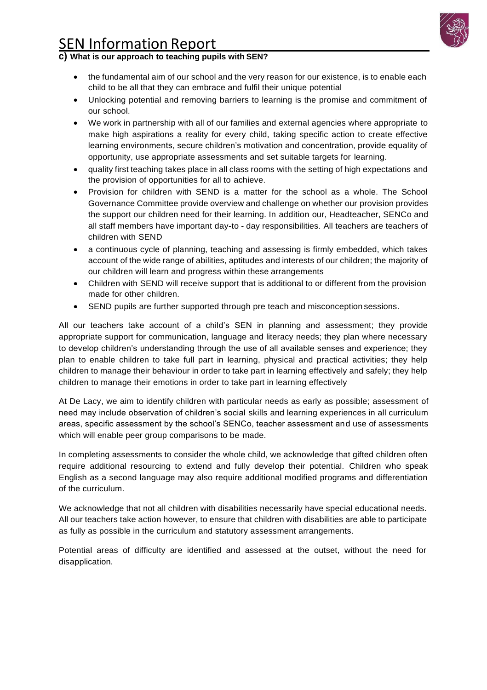

## **c) What is our approach to teaching pupils with SEN?**

- the fundamental aim of our school and the very reason for our existence, is to enable each child to be all that they can embrace and fulfil their unique potential
- Unlocking potential and removing barriers to learning is the promise and commitment of our school.
- We work in partnership with all of our families and external agencies where appropriate to make high aspirations a reality for every child, taking specific action to create effective learning environments, secure children's motivation and concentration, provide equality of opportunity, use appropriate assessments and set suitable targets for learning.
- quality first teaching takes place in all class rooms with the setting of high expectations and the provision of opportunities for all to achieve.
- Provision for children with SEND is a matter for the school as a whole. The School Governance Committee provide overview and challenge on whether our provision provides the support our children need for their learning. In addition our, Headteacher, SENCo and all staff members have important day-to - day responsibilities. All teachers are teachers of children with SEND
- a continuous cycle of planning, teaching and assessing is firmly embedded, which takes account of the wide range of abilities, aptitudes and interests of our children; the majority of our children will learn and progress within these arrangements
- Children with SEND will receive support that is additional to or different from the provision made for other children.
- SEND pupils are further supported through pre teach and misconception sessions.

All our teachers take account of a child's SEN in planning and assessment; they provide appropriate support for communication, language and literacy needs; they plan where necessary to develop children's understanding through the use of all available senses and experience; they plan to enable children to take full part in learning, physical and practical activities; they help children to manage their behaviour in order to take part in learning effectively and safely; they help children to manage their emotions in order to take part in learning effectively

At De Lacy, we aim to identify children with particular needs as early as possible; assessment of need may include observation of children's social skills and learning experiences in all curriculum areas, specific assessment by the school's SENCo, teacher assessment and use of assessments which will enable peer group comparisons to be made.

In completing assessments to consider the whole child, we acknowledge that gifted children often require additional resourcing to extend and fully develop their potential. Children who speak English as a second language may also require additional modified programs and differentiation of the curriculum.

We acknowledge that not all children with disabilities necessarily have special educational needs. All our teachers take action however, to ensure that children with disabilities are able to participate as fully as possible in the curriculum and statutory assessment arrangements.

Potential areas of difficulty are identified and assessed at the outset, without the need for disapplication.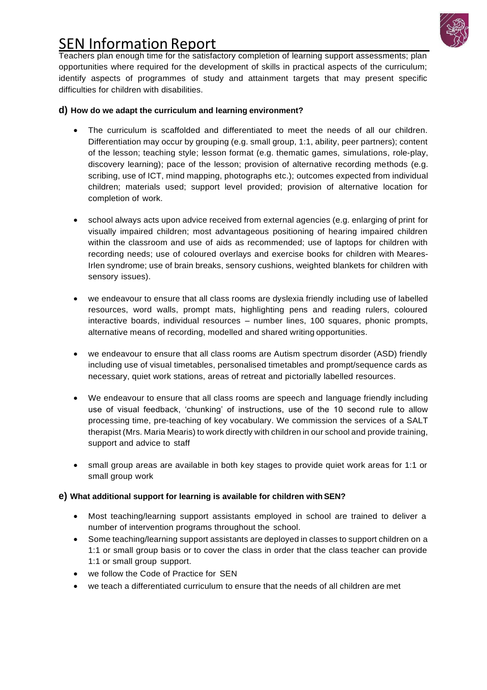

Teachers plan enough time for the satisfactory completion of learning support assessments; plan opportunities where required for the development of skills in practical aspects of the curriculum; identify aspects of programmes of study and attainment targets that may present specific difficulties for children with disabilities.

## **d) How do we adapt the curriculum and learning environment?**

- The curriculum is scaffolded and differentiated to meet the needs of all our children. Differentiation may occur by grouping (e.g. small group, 1:1, ability, peer partners); content of the lesson; teaching style; lesson format (e.g. thematic games, simulations, role-play, discovery learning); pace of the lesson; provision of alternative recording methods (e.g. scribing, use of ICT, mind mapping, photographs etc.); outcomes expected from individual children; materials used; support level provided; provision of alternative location for completion of work.
- school always acts upon advice received from external agencies (e.g. enlarging of print for visually impaired children; most advantageous positioning of hearing impaired children within the classroom and use of aids as recommended; use of laptops for children with recording needs; use of coloured overlays and exercise books for children with Meares-Irlen syndrome; use of brain breaks, sensory cushions, weighted blankets for children with sensory issues).
- we endeavour to ensure that all class rooms are dyslexia friendly including use of labelled resources, word walls, prompt mats, highlighting pens and reading rulers, coloured interactive boards, individual resources – number lines, 100 squares, phonic prompts, alternative means of recording, modelled and shared writing opportunities.
- we endeavour to ensure that all class rooms are Autism spectrum disorder (ASD) friendly including use of visual timetables, personalised timetables and prompt/sequence cards as necessary, quiet work stations, areas of retreat and pictorially labelled resources.
- We endeavour to ensure that all class rooms are speech and language friendly including use of visual feedback, 'chunking' of instructions, use of the 10 second rule to allow processing time, pre-teaching of key vocabulary. We commission the services of a SALT therapist (Mrs. Maria Mearis) to work directly with children in our school and provide training, support and advice to staff
- small group areas are available in both key stages to provide quiet work areas for 1:1 or small group work

## **e)** What additional support for learning is available for children with SEN?

- Most teaching/learning support assistants employed in school are trained to deliver a number of intervention programs throughout the school.
- Some teaching/learning support assistants are deployed in classes to support children on a 1:1 or small group basis or to cover the class in order that the class teacher can provide 1:1 or small group support.
- we follow the Code of Practice for SEN
- we teach a differentiated curriculum to ensure that the needs of all children are met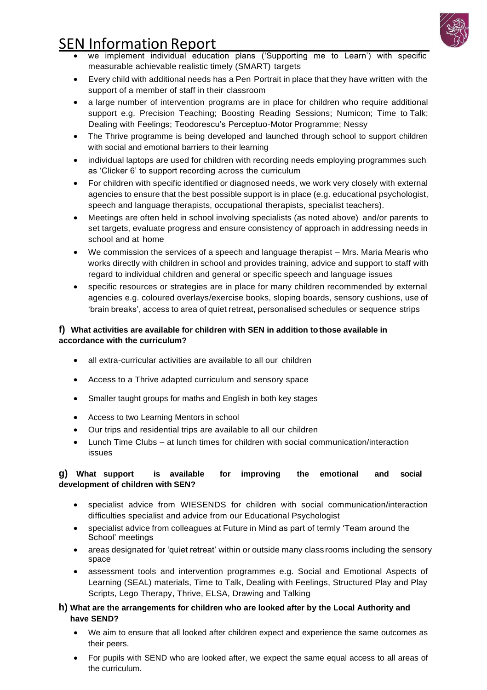

- we implement individual education plans ('Supporting me to Learn') with specific measurable achievable realistic timely (SMART) targets
- Every child with additional needs has a Pen Portrait in place that they have written with the support of a member of staff in their classroom
- a large number of intervention programs are in place for children who require additional support e.g. Precision Teaching; Boosting Reading Sessions; Numicon; Time to Talk; Dealing with Feelings; Teodorescu's Perceptuo-Motor Programme; Nessy
- The Thrive programme is being developed and launched through school to support children with social and emotional barriers to their learning
- individual laptops are used for children with recording needs employing programmes such as 'Clicker 6' to support recording across the curriculum
- For children with specific identified or diagnosed needs, we work very closely with external agencies to ensure that the best possible support is in place (e.g. educational psychologist, speech and language therapists, occupational therapists, specialist teachers).
- Meetings are often held in school involving specialists (as noted above) and/or parents to set targets, evaluate progress and ensure consistency of approach in addressing needs in school and at home
- We commission the services of a speech and language therapist Mrs. Maria Mearis who works directly with children in school and provides training, advice and support to staff with regard to individual children and general or specific speech and language issues
- specific resources or strategies are in place for many children recommended by external agencies e.g. coloured overlays/exercise books, sloping boards, sensory cushions, use of 'brain breaks', access to area of quiet retreat, personalised schedules or sequence strips

## **f) What activities are available for children with SEN in addition tothose available in accordance with the curriculum?**

- all extra-curricular activities are available to all our children
- Access to a Thrive adapted curriculum and sensory space
- Smaller taught groups for maths and English in both key stages
- Access to two Learning Mentors in school
- Our trips and residential trips are available to all our children
- Lunch Time Clubs at lunch times for children with social communication/interaction issues

## **g) What support is available for improving the emotional and social development of children with SEN?**

- specialist advice from WIESENDS for children with social communication/interaction difficulties specialist and advice from our Educational Psychologist
- specialist advice from colleagues at Future in Mind as part of termly 'Team around the School' meetings
- areas designated for 'quiet retreat' within or outside many class rooms including the sensory space
- assessment tools and intervention programmes e.g. Social and Emotional Aspects of Learning (SEAL) materials, Time to Talk, Dealing with Feelings, Structured Play and Play Scripts, Lego Therapy, Thrive, ELSA, Drawing and Talking

## **h) What are the arrangements for children who are looked after by the Local Authority and have SEND?**

- We aim to ensure that all looked after children expect and experience the same outcomes as their peers.
- For pupils with SEND who are looked after, we expect the same equal access to all areas of the curriculum.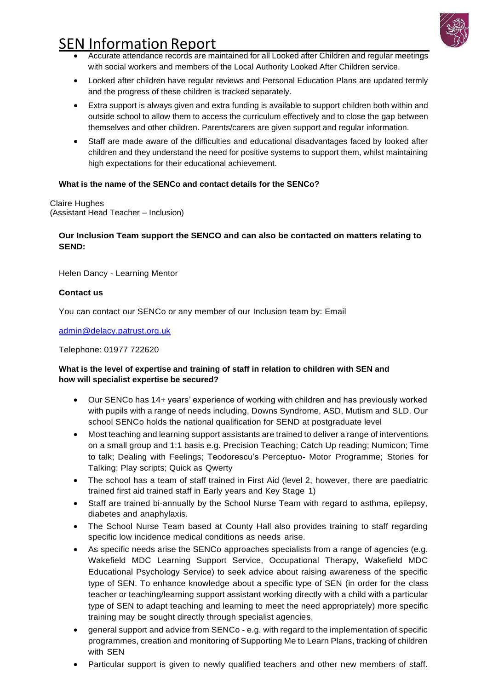

- Accurate attendance records are maintained for all Looked after Children and regular meetings with social workers and members of the Local Authority Looked After Children service.
- Looked after children have regular reviews and Personal Education Plans are updated termly and the progress of these children is tracked separately.
- Extra support is always given and extra funding is available to support children both within and outside school to allow them to access the curriculum effectively and to close the gap between themselves and other children. Parents/carers are given support and regular information.
- Staff are made aware of the difficulties and educational disadvantages faced by looked after children and they understand the need for positive systems to support them, whilst maintaining high expectations for their educational achievement.

#### **What is the name of the SENCo and contact details for the SENCo?**

Claire Hughes (Assistant Head Teacher – Inclusion)

### **Our Inclusion Team support the SENCO and can also be contacted on matters relating to SEND:**

Helen Dancy - Learning Mentor

#### **Contact us**

You can contact our SENCo or any member of our Inclusion team by: Email

[admin@delacy.patrust.org.uk](mailto:admin@delacy.patrust.org.uk)

Telephone: 01977 722620

#### **What is the level of expertise and training of staff in relation to children with SEN and how will specialist expertise be secured?**

- Our SENCo has 14+ years' experience of working with children and has previously worked with pupils with a range of needs including, Downs Syndrome, ASD, Mutism and SLD. Our school SENCo holds the national qualification for SEND at postgraduate level
- Most teaching and learning support assistants are trained to deliver a range of interventions on a small group and 1:1 basis e.g. Precision Teaching; Catch Up reading; Numicon; Time to talk; Dealing with Feelings; Teodorescu's Perceptuo- Motor Programme; Stories for Talking; Play scripts; Quick as Qwerty
- The school has a team of staff trained in First Aid (level 2, however, there are paediatric trained first aid trained staff in Early years and Key Stage 1)
- Staff are trained bi-annually by the School Nurse Team with regard to asthma, epilepsy, diabetes and anaphylaxis.
- The School Nurse Team based at County Hall also provides training to staff regarding specific low incidence medical conditions as needs arise.
- As specific needs arise the SENCo approaches specialists from a range of agencies (e.g. Wakefield MDC Learning Support Service, Occupational Therapy, Wakefield MDC Educational Psychology Service) to seek advice about raising awareness of the specific type of SEN. To enhance knowledge about a specific type of SEN (in order for the class teacher or teaching/learning support assistant working directly with a child with a particular type of SEN to adapt teaching and learning to meet the need appropriately) more specific training may be sought directly through specialist agencies.
- general support and advice from SENCo e.g. with regard to the implementation of specific programmes, creation and monitoring of Supporting Me to Learn Plans, tracking of children with SEN
- Particular support is given to newly qualified teachers and other new members of staff.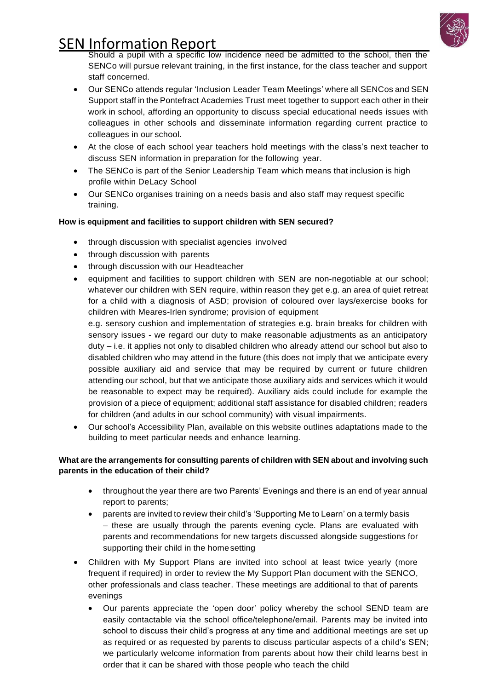

Should a pupil with a specific low incidence need be admitted to the school, then the SENCo will pursue relevant training, in the first instance, for the class teacher and support staff concerned.

- Our SENCo attends regular 'Inclusion Leader Team Meetings' where all SENCos and SEN Support staff in the Pontefract Academies Trust meet together to support each other in their work in school, affording an opportunity to discuss special educational needs issues with colleagues in other schools and disseminate information regarding current practice to colleagues in our school.
- At the close of each school year teachers hold meetings with the class's next teacher to discuss SEN information in preparation for the following year.
- The SENCo is part of the Senior Leadership Team which means that inclusion is high profile within DeLacy School
- Our SENCo organises training on a needs basis and also staff may request specific training.

## **How is equipment and facilities to support children with SEN secured?**

- through discussion with specialist agencies involved
- through discussion with parents
- through discussion with our Headteacher
- equipment and facilities to support children with SEN are non-negotiable at our school; whatever our children with SEN require, within reason they get e.g. an area of quiet retreat for a child with a diagnosis of ASD; provision of coloured over lays/exercise books for children with Meares-Irlen syndrome; provision of equipment

e.g. sensory cushion and implementation of strategies e.g. brain breaks for children with sensory issues - we regard our duty to make reasonable adjustments as an anticipatory duty – i.e. it applies not only to disabled children who already attend our school but also to disabled children who may attend in the future (this does not imply that we anticipate every possible auxiliary aid and service that may be required by current or future children attending our school, but that we anticipate those auxiliary aids and services which it would be reasonable to expect may be required). Auxiliary aids could include for example the provision of a piece of equipment; additional staff assistance for disabled children; readers for children (and adults in our school community) with visual impairments.

• Our school's Accessibility Plan, available on this website outlines adaptations made to the building to meet particular needs and enhance learning.

## **What are the arrangements for consulting parents of children with SEN about and involving such parents in the education of their child?**

- throughout the year there are two Parents' Evenings and there is an end of year annual report to parents;
- parents are invited to review their child's 'Supporting Me to Learn' on a termly basis – these are usually through the parents evening cycle. Plans are evaluated with parents and recommendations for new targets discussed alongside suggestions for supporting their child in the homesetting
- Children with My Support Plans are invited into school at least twice yearly (more frequent if required) in order to review the My Support Plan document with the SENCO, other professionals and class teacher. These meetings are additional to that of parents evenings
	- Our parents appreciate the 'open door' policy whereby the school SEND team are easily contactable via the school office/telephone/email. Parents may be invited into school to discuss their child's progress at any time and additional meetings are set up as required or as requested by parents to discuss particular aspects of a child's SEN; we particularly welcome information from parents about how their child learns best in order that it can be shared with those people who teach the child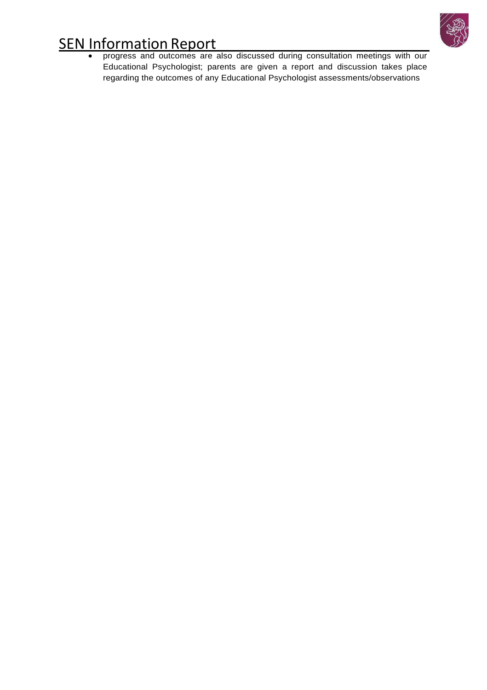

• progress and outcomes are also discussed during consultation meetings with our Educational Psychologist; parents are given a report and discussion takes place regarding the outcomes of any Educational Psychologist assessments/observations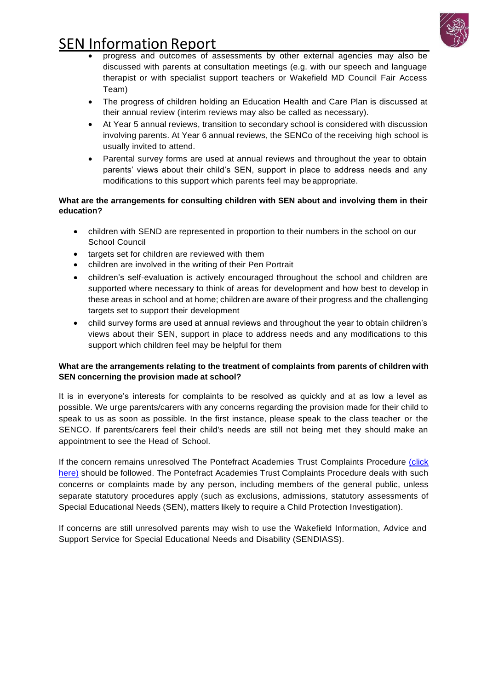

- progress and outcomes of assessments by other external agencies may also be discussed with parents at consultation meetings (e.g. with our speech and language therapist or with specialist support teachers or Wakefield MD Council Fair Access Team)
- The progress of children holding an Education Health and Care Plan is discussed at their annual review (interim reviews may also be called as necessary).
- At Year 5 annual reviews, transition to secondary school is considered with discussion involving parents. At Year 6 annual reviews, the SENCo of the receiving high school is usually invited to attend.
- Parental survey forms are used at annual reviews and throughout the year to obtain parents' views about their child's SEN, support in place to address needs and any modifications to this support which parents feel may be appropriate.

## **What are the arrangements for consulting children with SEN about and involving them in their education?**

- children with SEND are represented in proportion to their numbers in the school on our School Council
- targets set for children are reviewed with them
- children are involved in the writing of their Pen Portrait
- children's self-evaluation is actively encouraged throughout the school and children are supported where necessary to think of areas for development and how best to develop in these areas in school and at home; children are aware of their progress and the challenging targets set to support their development
- child survey forms are used at annual reviews and throughout the year to obtain children's views about their SEN, support in place to address needs and any modifications to this support which children feel may be helpful for them

## **What are the arrangements relating to the treatment of complaints from parents of children with SEN concerning the provision made at school?**

It is in everyone's interests for complaints to be resolved as quickly and at as low a level as possible. We urge parents/carers with any concerns regarding the provision made for their child to speak to us as soon as possible. In the first instance, please speak to the class teacher or the SENCO. If parents/carers feel their child's needs are still not being met they should make an appointment to see the Head of School.

If the concern remains unresolved The Pontefract Academies Trust Complaints Procedure (click here) should be followed. The Pontefract Academies Trust Complaints Procedure deals with such concerns or complaints made by any person, including members of the general public, unless separate statutory procedures apply (such as exclusions, admissions, statutory assessments of Special Educational Needs (SEN), matters likely to require a Child Protection Investigation).

If concerns are still unresolved parents may wish to use the Wakefield Information, Advice and Support Service for Special Educational Needs and Disability (SENDIASS).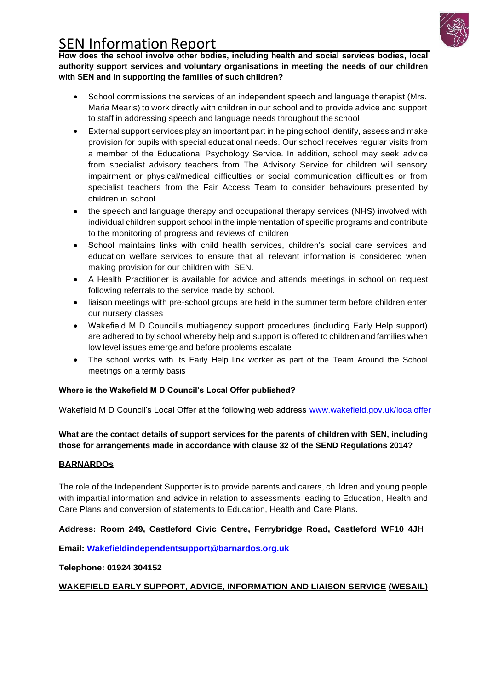

**How does the school involve other bodies, including health and social services bodies, local authority support services and voluntary organisations in meeting the needs of our children with SEN and in supporting the families of such children?**

- School commissions the services of an independent speech and language therapist (Mrs. Maria Mearis) to work directly with children in our school and to provide advice and support to staff in addressing speech and language needs throughout the school
- External support services play an important part in helping school identify, assess and make provision for pupils with special educational needs. Our school receives regular visits from a member of the Educational Psychology Service. In addition, school may seek advice from specialist advisory teachers from The Advisory Service for children will sensory impairment or physical/medical difficulties or social communication difficulties or from specialist teachers from the Fair Access Team to consider behaviours presented by children in school.
- the speech and language therapy and occupational therapy services (NHS) involved with individual children support school in the implementation of specific programs and contribute to the monitoring of progress and reviews of children
- School maintains links with child health services, children's social care services and education welfare services to ensure that all relevant information is considered when making provision for our children with SEN.
- A Health Practitioner is available for advice and attends meetings in school on request following referrals to the service made by school.
- liaison meetings with pre-school groups are held in the summer term before children enter our nursery classes
- Wakefield M D Council's multiagency support procedures (including Early Help support) are adhered to by school whereby help and support is offered to children and families when low level issues emerge and before problems escalate
- The school works with its Early Help link worker as part of the Team Around the School meetings on a termly basis

## **Where is the Wakefield M D Council's Local Offer published?**

Wakefield M D Council's Local Offer at the following web address [www.wakefield.gov.uk/localoffer](http://www.wakefield.gov.uk/localoffer)

**What are the contact details of support services for the parents of children with SEN, including those for arrangements made in accordance with clause 32 of the SEND Regulations 2014?**

## **BARNARDOs**

The role of the Independent Supporter is to provide parents and carers, ch ildren and young people with impartial information and advice in relation to assessments leading to Education, Health and Care Plans and conversion of statements to Education, Health and Care Plans.

## **Address: Room 249, Castleford Civic Centre, Ferrybridge Road, Castleford WF10 4JH**

**Email: [Wakefieldindependentsupport@barnardos.org.uk](mailto:Wakefieldindependentsupport@barnardos.org.uk)**

**Telephone: 01924 304152**

## **WAKEFIELD EARLY SUPPORT, ADVICE, INFORMATION AND LIAISON SERVICE (WESAIL)**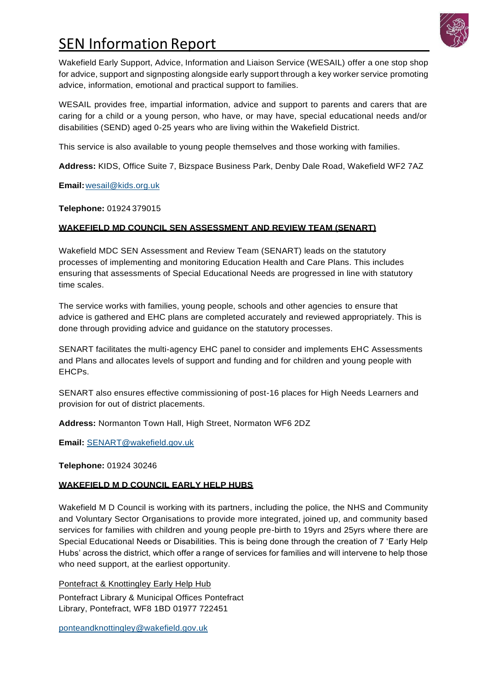

Wakefield Early Support, Advice, Information and Liaison Service (WESAIL) offer a one stop shop for advice, support and signposting alongside early support through a key worker service promoting advice, information, emotional and practical support to families.

WESAIL provides free, impartial information, advice and support to parents and carers that are caring for a child or a young person, who have, or may have, special educational needs and/or disabilities (SEND) aged 0-25 years who are living within the Wakefield District.

This service is also available to young people themselves and those working with families.

**Address:** KIDS, Office Suite 7, Bizspace Business Park, Denby Dale Road, Wakefield WF2 7AZ

**Email:**[wesail@kids.org.uk](mailto:wesail@kids.org.uk)

**Telephone:** 01924 379015

## **WAKEFIELD MD COUNCIL SEN ASSESSMENT AND REVIEW TEAM (SENART)**

Wakefield MDC SEN Assessment and Review Team (SENART) leads on the statutory processes of implementing and monitoring Education Health and Care Plans. This includes ensuring that assessments of Special Educational Needs are progressed in line with statutory time scales.

The service works with families, young people, schools and other agencies to ensure that advice is gathered and EHC plans are completed accurately and reviewed appropriately. This is done through providing advice and guidance on the statutory processes.

SENART facilitates the multi-agency EHC panel to consider and implements EHC Assessments and Plans and allocates levels of support and funding and for children and young people with EHCPs.

SENART also ensures effective commissioning of post-16 places for High Needs Learners and provision for out of district placements.

**Address:** Normanton Town Hall, High Street, Normaton WF6 2DZ

**Email:** [SENART@wakefield.gov.uk](mailto:SENART@wakefield.gov.uk)

**Telephone:** 01924 30246

## **WAKEFIELD M D COUNCIL EARLY HELP HUBS**

Wakefield M D Council is working with its partners, including the police, the NHS and Community and Voluntary Sector Organisations to provide more integrated, joined up, and community based services for families with children and young people pre-birth to 19yrs and 25yrs where there are Special Educational Needs or Disabilities. This is being done through the creation of 7 'Early Help Hubs' across the district, which offer a range of services for families and will intervene to help those who need support, at the earliest opportunity*.*

Pontefract & Knottingley Early Help Hub Pontefract Library & Municipal Offices Pontefract Library, Pontefract, WF8 1BD 01977 722451

[ponteandknottingley@wakefield.gov.uk](mailto:ponteandknottingley@wakefield.gov.uk)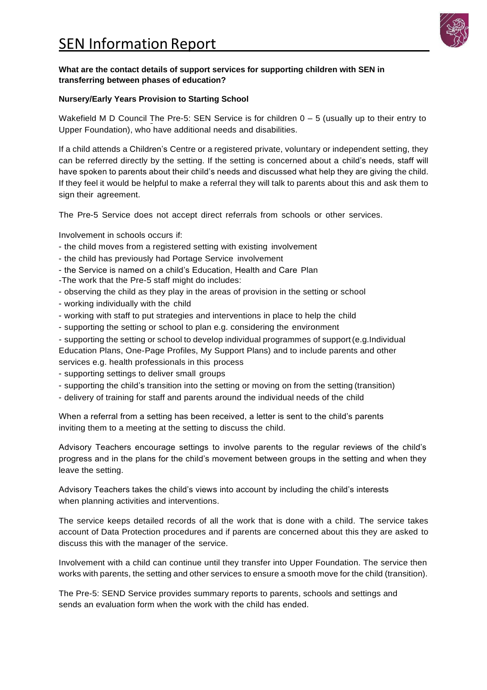

#### **What are the contact details of support services for supporting children with SEN in transferring between phases of education?**

#### **Nursery/Early Years Provision to Starting School**

Wakefield M D Council The Pre-5: SEN Service is for children  $0 - 5$  (usually up to their entry to Upper Foundation), who have additional needs and disabilities.

If a child attends a Children's Centre or a registered private, voluntary or independent setting, they can be referred directly by the setting. If the setting is concerned about a child's needs, staff will have spoken to parents about their child's needs and discussed what help they are giving the child. If they feel it would be helpful to make a referral they will talk to parents about this and ask them to sign their agreement.

The Pre-5 Service does not accept direct referrals from schools or other services.

Involvement in schools occurs if:

- the child moves from a registered setting with existing involvement
- the child has previously had Portage Service involvement
- the Service is named on a child's Education, Health and Care Plan
- -The work that the Pre-5 staff might do includes:
- observing the child as they play in the areas of provision in the setting or school
- working individually with the child
- working with staff to put strategies and interventions in place to help the child
- supporting the setting or school to plan e.g. considering the environment
- supporting the setting or school to develop individual programmes of support(e.g.Individual

Education Plans, One-Page Profiles, My Support Plans) and to include parents and other services e.g. health professionals in this process

- supporting settings to deliver small groups
- supporting the child's transition into the setting or moving on from the setting (transition)
- delivery of training for staff and parents around the individual needs of the child

When a referral from a setting has been received, a letter is sent to the child's parents inviting them to a meeting at the setting to discuss the child.

Advisory Teachers encourage settings to involve parents to the regular reviews of the child's progress and in the plans for the child's movement between groups in the setting and when they leave the setting.

Advisory Teachers takes the child's views into account by including the child's interests when planning activities and interventions.

The service keeps detailed records of all the work that is done with a child. The service takes account of Data Protection procedures and if parents are concerned about this they are asked to discuss this with the manager of the service.

Involvement with a child can continue until they transfer into Upper Foundation. The service then works with parents, the setting and other services to ensure a smooth move for the child (transition).

The Pre-5: SEND Service provides summary reports to parents, schools and settings and sends an evaluation form when the work with the child has ended.